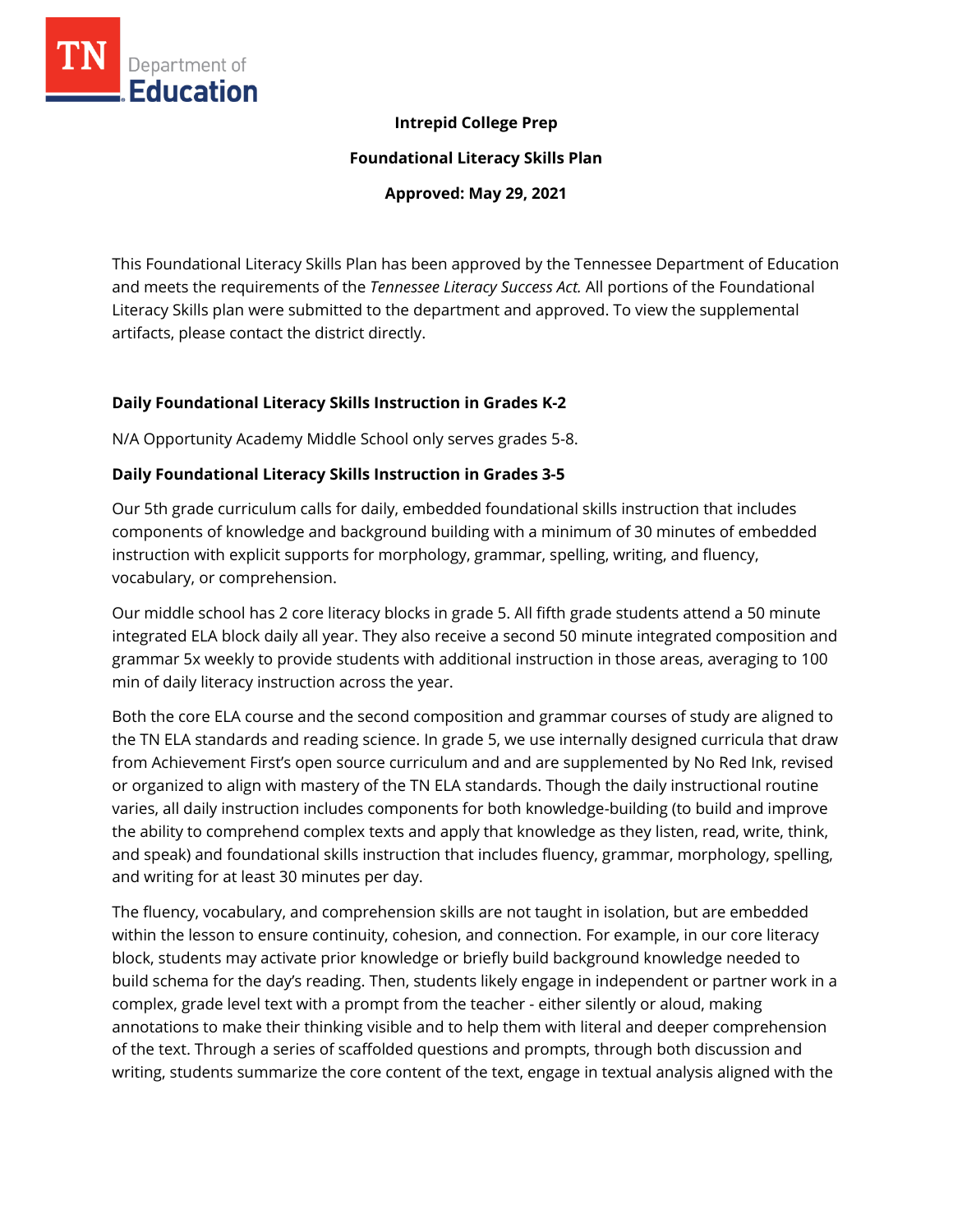

## **Intrepid College Prep**

**Foundational Literacy Skills Plan**

**Approved: May 29, 2021**

This Foundational Literacy Skills Plan has been approved by the Tennessee Department of Education and meets the requirements of the *Tennessee Literacy Success Act.* All portions of the Foundational Literacy Skills plan were submitted to the department and approved. To view the supplemental artifacts, please contact the district directly.

## **Daily Foundational Literacy Skills Instruction in Grades K-2**

N/A Opportunity Academy Middle School only serves grades 5-8.

## **Daily Foundational Literacy Skills Instruction in Grades 3-5**

Our 5th grade curriculum calls for daily, embedded foundational skills instruction that includes components of knowledge and background building with a minimum of 30 minutes of embedded instruction with explicit supports for morphology, grammar, spelling, writing, and fluency, vocabulary, or comprehension.

Our middle school has 2 core literacy blocks in grade 5. All fifth grade students attend a 50 minute integrated ELA block daily all year. They also receive a second 50 minute integrated composition and grammar 5x weekly to provide students with additional instruction in those areas, averaging to 100 min of daily literacy instruction across the year.

Both the core ELA course and the second composition and grammar courses of study are aligned to the TN ELA standards and reading science. In grade 5, we use internally designed curricula that draw from Achievement First's open source curriculum and and are supplemented by No Red Ink, revised or organized to align with mastery of the TN ELA standards. Though the daily instructional routine varies, all daily instruction includes components for both knowledge-building (to build and improve the ability to comprehend complex texts and apply that knowledge as they listen, read, write, think, and speak) and foundational skills instruction that includes fluency, grammar, morphology, spelling, and writing for at least 30 minutes per day.

The fluency, vocabulary, and comprehension skills are not taught in isolation, but are embedded within the lesson to ensure continuity, cohesion, and connection. For example, in our core literacy block, students may activate prior knowledge or briefly build background knowledge needed to build schema for the day's reading. Then, students likely engage in independent or partner work in a complex, grade level text with a prompt from the teacher - either silently or aloud, making annotations to make their thinking visible and to help them with literal and deeper comprehension of the text. Through a series of scaffolded questions and prompts, through both discussion and writing, students summarize the core content of the text, engage in textual analysis aligned with the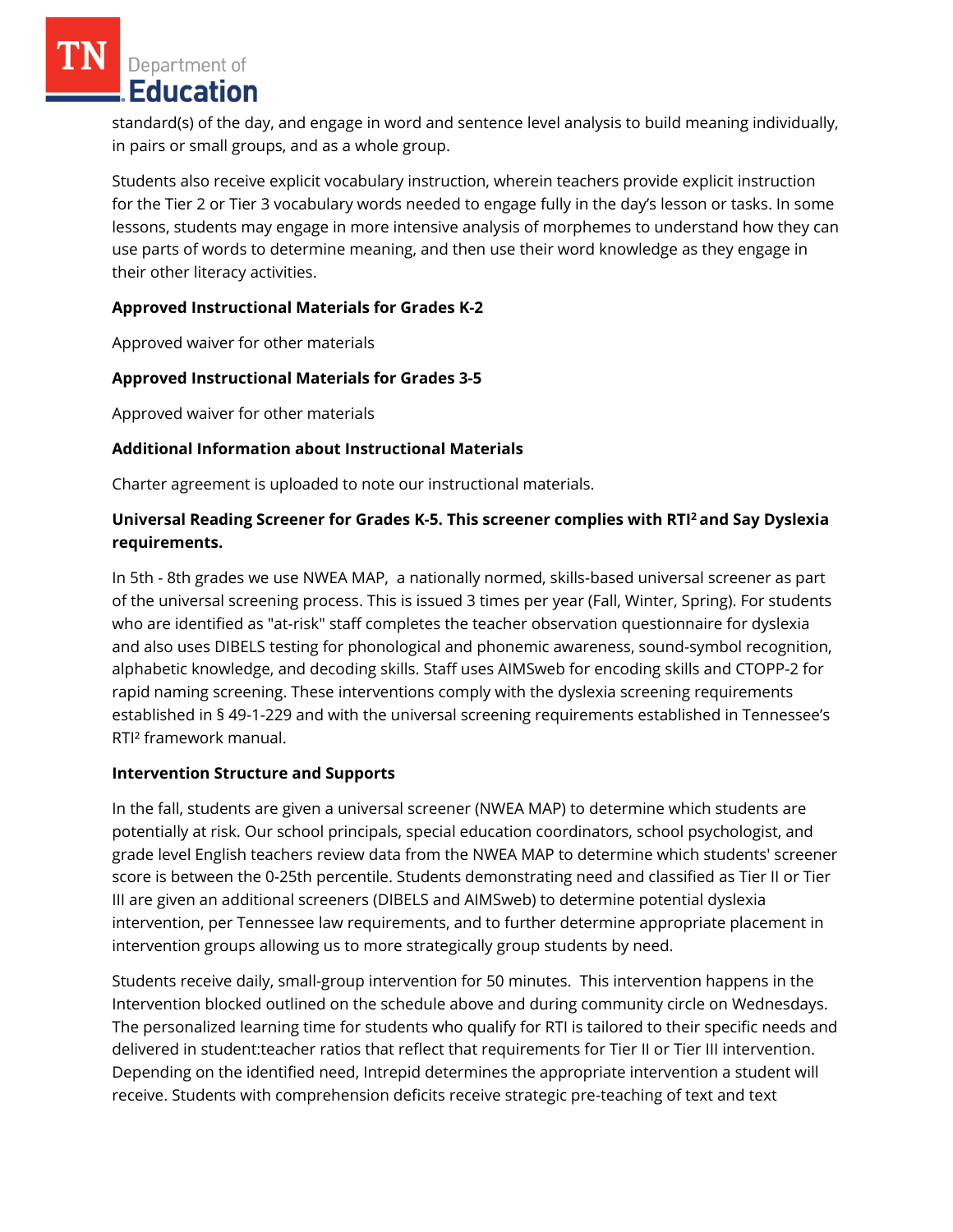Department of **Education** 

standard(s) of the day, and engage in word and sentence level analysis to build meaning individually, in pairs or small groups, and as a whole group.

Students also receive explicit vocabulary instruction, wherein teachers provide explicit instruction for the Tier 2 or Tier 3 vocabulary words needed to engage fully in the day's lesson or tasks. In some lessons, students may engage in more intensive analysis of morphemes to understand how they can use parts of words to determine meaning, and then use their word knowledge as they engage in their other literacy activities.

## **Approved Instructional Materials for Grades K-2**

Approved waiver for other materials

## **Approved Instructional Materials for Grades 3-5**

Approved waiver for other materials

## **Additional Information about Instructional Materials**

Charter agreement is uploaded to note our instructional materials.

# **Universal Reading Screener for Grades K-5. This screener complies with RTI<sup>2</sup>and Say Dyslexia requirements.**

In 5th - 8th grades we use NWEA MAP, a nationally normed, skills-based universal screener as part of the universal screening process. This is issued 3 times per year (Fall, Winter, Spring). For students who are identified as "at-risk" staff completes the teacher observation questionnaire for dyslexia and also uses DIBELS testing for phonological and phonemic awareness, sound-symbol recognition, alphabetic knowledge, and decoding skills. Staff uses AIMSweb for encoding skills and CTOPP-2 for rapid naming screening. These interventions comply with the dyslexia screening requirements established in § 49-1-229 and with the universal screening requirements established in Tennessee's RTI² framework manual.

#### **Intervention Structure and Supports**

In the fall, students are given a universal screener (NWEA MAP) to determine which students are potentially at risk. Our school principals, special education coordinators, school psychologist, and grade level English teachers review data from the NWEA MAP to determine which students' screener score is between the 0-25th percentile. Students demonstrating need and classified as Tier II or Tier III are given an additional screeners (DIBELS and AIMSweb) to determine potential dyslexia intervention, per Tennessee law requirements, and to further determine appropriate placement in intervention groups allowing us to more strategically group students by need.

Students receive daily, small-group intervention for 50 minutes. This intervention happens in the Intervention blocked outlined on the schedule above and during community circle on Wednesdays. The personalized learning time for students who qualify for RTI is tailored to their specific needs and delivered in student:teacher ratios that reflect that requirements for Tier II or Tier III intervention. Depending on the identified need, Intrepid determines the appropriate intervention a student will receive. Students with comprehension deficits receive strategic pre-teaching of text and text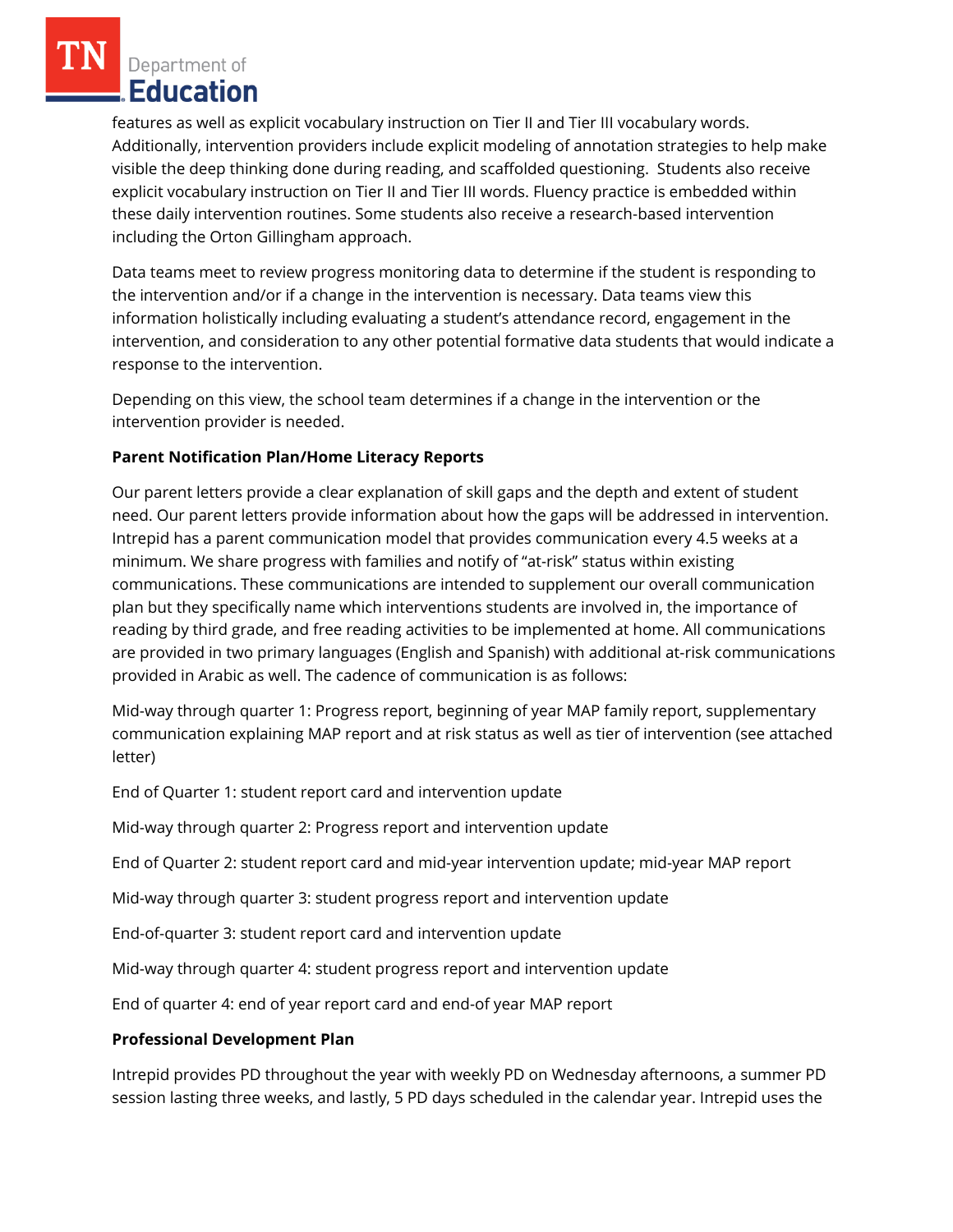Department of **Education** 

features as well as explicit vocabulary instruction on Tier II and Tier III vocabulary words. Additionally, intervention providers include explicit modeling of annotation strategies to help make visible the deep thinking done during reading, and scaffolded questioning. Students also receive explicit vocabulary instruction on Tier II and Tier III words. Fluency practice is embedded within these daily intervention routines. Some students also receive a research-based intervention including the Orton Gillingham approach.

Data teams meet to review progress monitoring data to determine if the student is responding to the intervention and/or if a change in the intervention is necessary. Data teams view this information holistically including evaluating a student's attendance record, engagement in the intervention, and consideration to any other potential formative data students that would indicate a response to the intervention.

Depending on this view, the school team determines if a change in the intervention or the intervention provider is needed.

# **Parent Notification Plan/Home Literacy Reports**

Our parent letters provide a clear explanation of skill gaps and the depth and extent of student need. Our parent letters provide information about how the gaps will be addressed in intervention. Intrepid has a parent communication model that provides communication every 4.5 weeks at a minimum. We share progress with families and notify of "at-risk" status within existing communications. These communications are intended to supplement our overall communication plan but they specifically name which interventions students are involved in, the importance of reading by third grade, and free reading activities to be implemented at home. All communications are provided in two primary languages (English and Spanish) with additional at-risk communications provided in Arabic as well. The cadence of communication is as follows:

Mid-way through quarter 1: Progress report, beginning of year MAP family report, supplementary communication explaining MAP report and at risk status as well as tier of intervention (see attached letter)

End of Quarter 1: student report card and intervention update

Mid-way through quarter 2: Progress report and intervention update

End of Quarter 2: student report card and mid-year intervention update; mid-year MAP report

Mid-way through quarter 3: student progress report and intervention update

End-of-quarter 3: student report card and intervention update

Mid-way through quarter 4: student progress report and intervention update

End of quarter 4: end of year report card and end-of year MAP report

#### **Professional Development Plan**

Intrepid provides PD throughout the year with weekly PD on Wednesday afternoons, a summer PD session lasting three weeks, and lastly, 5 PD days scheduled in the calendar year. Intrepid uses the